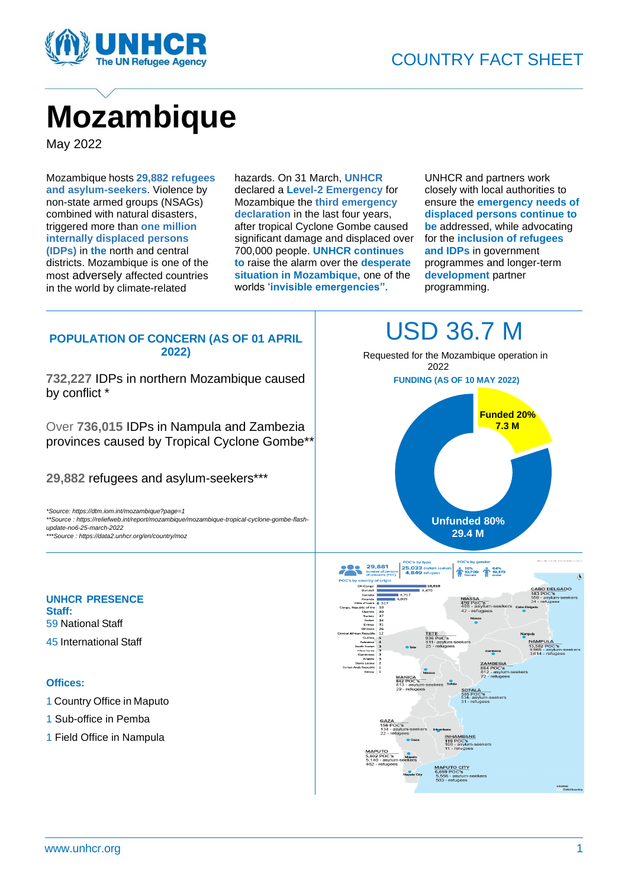

# **Mozambique**

May 2022

Mozambique hosts **29,882 refugees and asylum-seekers**. Violence by non-state armed groups (NSAGs) combined with natural disasters, triggered more than **one million internally displaced persons (IDPs)** in **the** north and central districts. Mozambique is one of the most adversely affected countries in the world by climate-related

hazards. On 31 March, **UNHCR** declared a **Level-2 Emergency** for Mozambique the **third emergency declaration** in the last four years, after tropical Cyclone Gombe caused significant damage and displaced over 700,000 people. **UNHCR continues to** raise the alarm over the **desperate situation in Mozambique,** one of the worlds '**invisible emergencies".**

UNHCR and partners work closely with local authorities to ensure the **emergency needs of displaced persons continue to be** addressed, while advocating for the **inclusion of refugees and IDPs** in government programmes and longer-term **development** partner programming.

# **POPULATION OF CONCERN (AS OF 01 APRIL 2022)**

**732,227** IDPs in northern Mozambique caused by conflict \*

Over **736,015** IDPs in Nampula and Zambezia provinces caused by Tropical Cyclone Gombe\*\*

**29,882** refugees and asylum-seekers\*\*\*

*\*Source: https://dtm.iom.int/mozambique?page=1 \*\*Source : https://reliefweb.int/report/mozambique/mozambique-tropical-cyclone-gombe-flashupdate-no6-25-march-2022* 

*\*\*\*Source : https://data2.unhcr.org/en/country/moz*

# USD 36.7 M

 Requested for the Mozambique operation in 2022 **FUNDING (AS OF 10 MAY 2022)**



# **UNHCR PRESENCE Staff:** 59 National Staff 45 International Staff

# **Offices:**

- 1 Country Office in Maputo
- 1 Sub-office in Pemba
- 1 Field Office in Nampula

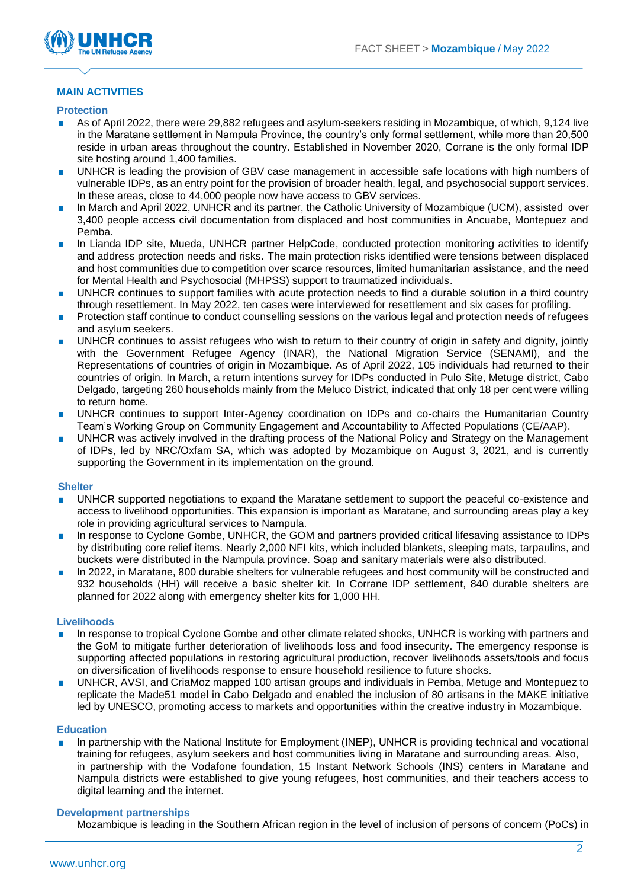

# **MAIN ACTIVITIES**

#### **Protection**

- As of April 2022, there were 29,882 refugees and asylum-seekers residing in Mozambique, of which, 9,124 live in the Maratane settlement in Nampula Province, the country's only formal settlement, while more than 20,500 reside in urban areas throughout the country. Established in November 2020, Corrane is the only formal IDP site hosting around 1,400 families.
- UNHCR is leading the provision of GBV case management in accessible safe locations with high numbers of vulnerable IDPs, as an entry point for the provision of broader health, legal, and psychosocial support services. In these areas, close to 44,000 people now have access to GBV services.
- In March and April 2022, UNHCR and its partner, the Catholic University of Mozambique (UCM), assisted over 3,400 people access civil documentation from displaced and host communities in Ancuabe, Montepuez and Pemba.
- In Lianda IDP site, Mueda, UNHCR partner HelpCode, conducted protection monitoring activities to identify and address protection needs and risks. The main protection risks identified were tensions between displaced and host communities due to competition over scarce resources, limited humanitarian assistance, and the need for Mental Health and Psychosocial (MHPSS) support to traumatized individuals.
- UNHCR continues to support families with acute protection needs to find a durable solution in a third country through resettlement. In May 2022, ten cases were interviewed for resettlement and six cases for profiling.
- Protection staff continue to conduct counselling sessions on the various legal and protection needs of refugees and asylum seekers.
- UNHCR continues to assist refugees who wish to return to their country of origin in safety and dignity, jointly with the Government Refugee Agency (INAR), the National Migration Service (SENAMI), and the Representations of countries of origin in Mozambique. As of April 2022, 105 individuals had returned to their countries of origin. In March, a [return intentions survey for IDPs conducted in Pulo Site, Metuge district,](https://reliefweb.int/report/mozambique/protection-assessment-return-intentions-cabo-delgado-metuge-pulo-site-18-march) Cabo Delgado, targeting 260 households mainly from the Meluco District, indicated that only 18 per cent were willing to return home.
- UNHCR continues to support Inter-Agency coordination on IDPs and co-chairs the Humanitarian Country Team's Working Group on Community Engagement and Accountability to Affected Populations (CE/AAP).
- UNHCR was actively involved in the drafting process of the National Policy and Strategy on the Management of IDPs, led by NRC/Oxfam SA, which was adopted by Mozambique on August 3, 2021, and is currently supporting the Government in its implementation on the ground.

#### **Shelter**

- UNHCR supported negotiations to expand the Maratane settlement to support the peaceful co-existence and access to livelihood opportunities. This expansion is important as Maratane, and surrounding areas play a key role in providing agricultural services to Nampula.
- In response to Cyclone Gombe, UNHCR, the GOM and partners provided critical lifesaving assistance to IDPs by distributing core relief items. Nearly 2,000 NFI kits, which included blankets, sleeping mats, tarpaulins, and buckets were distributed in the Nampula province. Soap and sanitary materials were also distributed.
- In 2022, in Maratane, 800 durable shelters for vulnerable refugees and host community will be constructed and 932 households (HH) will receive a basic shelter kit. In Corrane IDP settlement, 840 durable shelters are planned for 2022 along with emergency shelter kits for 1,000 HH.

# **Livelihoods**

- In response to tropical Cyclone Gombe and other climate related shocks, UNHCR is working with partners and the GoM to mitigate further deterioration of livelihoods loss and food insecurity. The emergency response is supporting affected populations in restoring agricultural production, recover livelihoods assets/tools and focus on diversification of livelihoods response to ensure household resilience to future shocks.
- UNHCR, AVSI, and CriaMoz mapped 100 artisan groups and individuals in Pemba, Metuge and Montepuez to replicate the Made51 model in Cabo Delgado and enabled the inclusion of 80 artisans in the MAKE initiative led by UNESCO, promoting access to markets and opportunities within the creative industry in Mozambique.

# **Education**

In partnership with the National Institute for Employment (INEP), UNHCR is providing technical and vocational training for refugees, asylum seekers and host communities living in Maratane and surrounding areas. Also, in partnership with the Vodafone foundation, 15 Instant Network Schools (INS) centers in Maratane and Nampula districts were established to give young refugees, host communities, and their teachers access to digital learning and the internet.

#### **Development partnerships**

Mozambique is leading in the Southern African region in the level of inclusion of persons of concern (PoCs) in